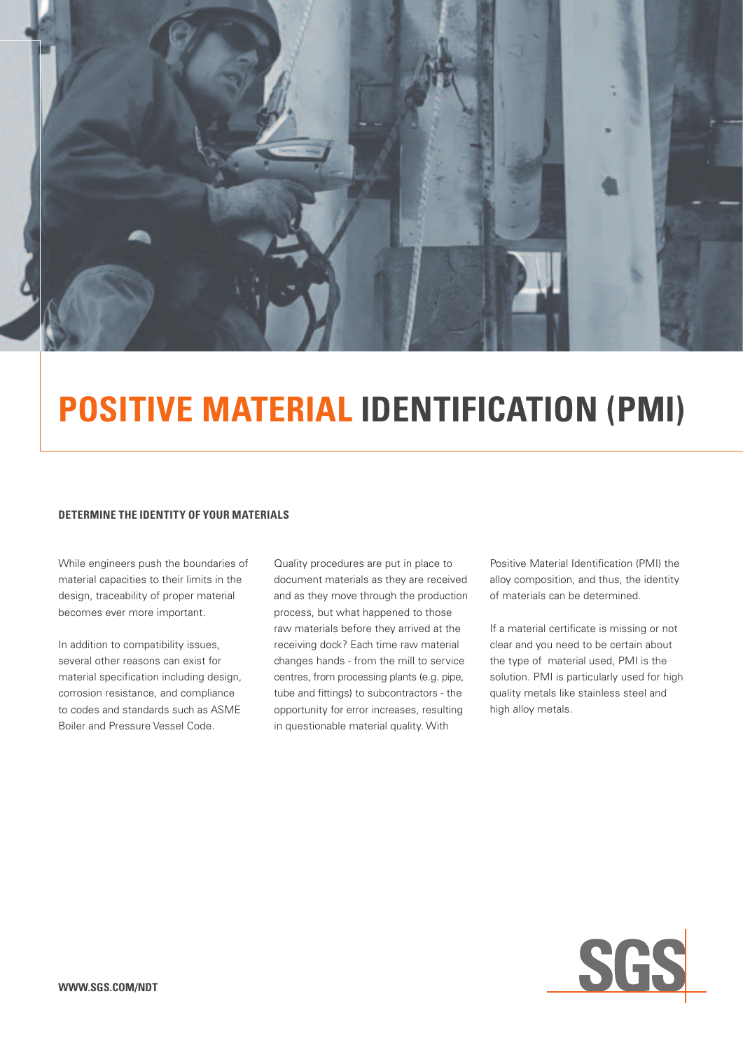

# **positive material identification (PMI)**

#### **Determine the Identity of your Materials**

While engineers push the boundaries of material capacities to their limits in the design, traceability of proper material becomes ever more important.

In addition to compatibility issues, several other reasons can exist for material specification including design, corrosion resistance, and compliance to codes and standards such as ASME Boiler and Pressure Vessel Code.

Quality procedures are put in place to document materials as they are received and as they move through the production process, but what happened to those raw materials before they arrived at the receiving dock? Each time raw material changes hands - from the mill to service centres, from processing plants (e.g. pipe, tube and fittings) to subcontractors - the opportunity for error increases, resulting in questionable material quality. With

Positive Material Identification (PMI) the alloy composition, and thus, the identity of materials can be determined.

If a material certificate is missing or not clear and you need to be certain about the type of material used, PMI is the solution. PMI is particularly used for high quality metals like stainless steel and high alloy metals.